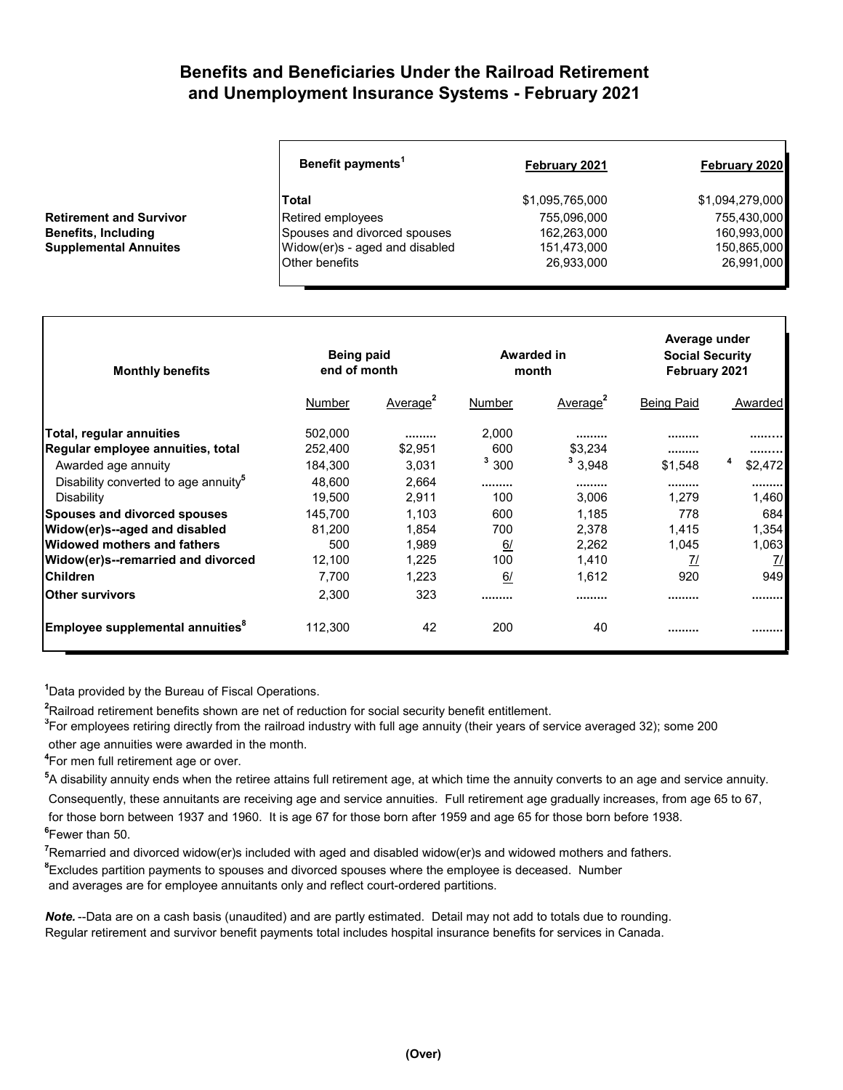## **Benefits and Beneficiaries Under the Railroad Retirement and Unemployment Insurance Systems - February 2021**

| Benefit payments <sup>1</sup>  | February 2021   | February 2020   |
|--------------------------------|-----------------|-----------------|
| Total                          | \$1,095,765,000 | \$1,094,279,000 |
| Retired employees              | 755,096,000     | 755,430,000     |
| Spouses and divorced spouses   | 162,263,000     | 160,993,000     |
| Widow(er)s - aged and disabled | 151,473,000     | 150,865,000     |
| <b>Other benefits</b>          | 26,933,000      | 26,991,000      |

| <b>Monthly benefits</b>                          | Being paid<br>end of month |                      | Awarded in<br>month |                      | Average under<br><b>Social Security</b><br>February 2021 |               |
|--------------------------------------------------|----------------------------|----------------------|---------------------|----------------------|----------------------------------------------------------|---------------|
|                                                  | Number                     | Average <sup>2</sup> | Number              | Average <sup>2</sup> | <b>Being Paid</b>                                        | Awarded       |
| Total, regular annuities                         | 502,000                    |                      | 2,000               |                      | ---------                                                |               |
| Regular employee annuities, total                | 252,400                    | \$2,951              | 600                 | \$3.234              |                                                          |               |
| Awarded age annuity                              | 184.300                    | 3.031                | $3\,300$            | 3,948                | \$1.548                                                  | \$2.472       |
| Disability converted to age annuity <sup>5</sup> | 48.600                     | 2,664                |                     |                      | ---------                                                |               |
| Disability                                       | 19,500                     | 2,911                | 100                 | 3,006                | 1.279                                                    | 1,460         |
| <b>Spouses and divorced spouses</b>              | 145,700                    | 1.103                | 600                 | 1,185                | 778                                                      | 684           |
| Widow(er)s--aged and disabled                    | 81,200                     | 1,854                | 700                 | 2,378                | 1,415                                                    | 1,354         |
| lWidowed mothers and fathers                     | 500                        | 1.989                | 6/                  | 2,262                | 1,045                                                    | 1,063         |
| Widow(er)s--remarried and divorced               | 12,100                     | 1,225                | 100                 | 1,410                | 71                                                       | $\frac{7}{2}$ |
| <b>Children</b>                                  | 7,700                      | 1,223                | 6/                  | 1,612                | 920                                                      | 949           |
| <b>Other survivors</b>                           | 2,300                      | 323                  |                     |                      |                                                          |               |
| Employee supplemental annuities <sup>°</sup>     | 112,300                    | 42                   | 200                 | 40                   |                                                          |               |

**1** Data provided by the Bureau of Fiscal Operations.

**2** Railroad retirement benefits shown are net of reduction for social security benefit entitlement.

**3** For employees retiring directly from the railroad industry with full age annuity (their years of service averaged 32); some 200 other age annuities were awarded in the month.

**4** For men full retirement age or over.

**Retirement and Survivor Benefits, Including Supplemental Annuites** 

**5** A disability annuity ends when the retiree attains full retirement age, at which time the annuity converts to an age and service annuity. Consequently, these annuitants are receiving age and service annuities. Full retirement age gradually increases, from age 65 to 67,

 for those born between 1937 and 1960. It is age 67 for those born after 1959 and age 65 for those born before 1938. **6** Fewer than 50.

**7** Remarried and divorced widow(er)s included with aged and disabled widow(er)s and widowed mothers and fathers. **8** Excludes partition payments to spouses and divorced spouses where the employee is deceased. Number and averages are for employee annuitants only and reflect court-ordered partitions.

*Note.* --Data are on a cash basis (unaudited) and are partly estimated. Detail may not add to totals due to rounding. Regular retirement and survivor benefit payments total includes hospital insurance benefits for services in Canada.